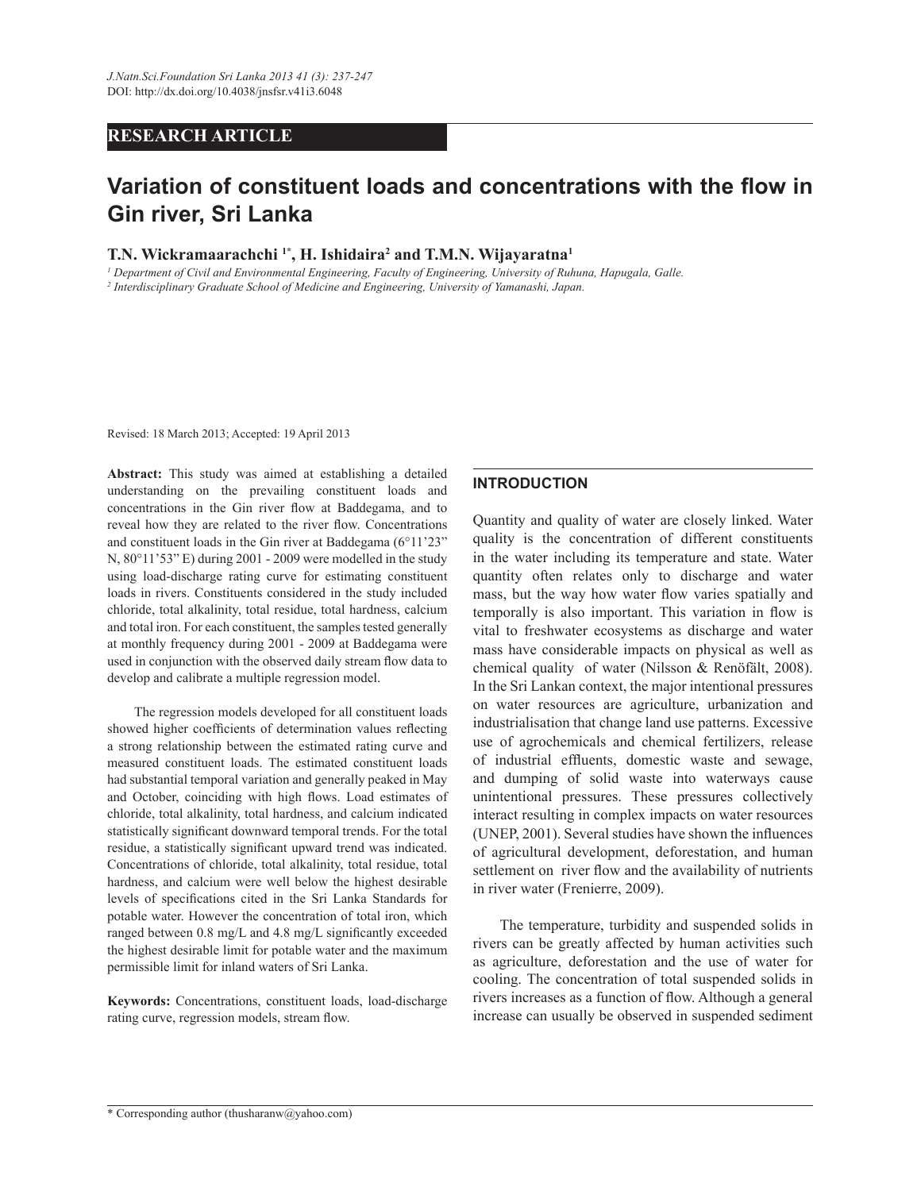# **RESEARCH ARTICLE**

# **Variation of constituent loads and concentrations with the flow in Gin river, Sri Lanka**

#### **T.N. Wickramaarachchi 1\*, H. Ishidaira<sup>2</sup> and T.M.N. Wijayaratna<sup>1</sup>**

*1 Department of Civil and Environmental Engineering, Faculty of Engineering, University of Ruhuna, Hapugala, Galle. 2 Interdisciplinary Graduate School of Medicine and Engineering, University of Yamanashi, Japan.*

Revised: 18 March 2013; Accepted: 19 April 2013

**Abstract:** This study was aimed at establishing a detailed understanding on the prevailing constituent loads and concentrations in the Gin river flow at Baddegama, and to reveal how they are related to the river flow. Concentrations and constituent loads in the Gin river at Baddegama (6°11'23" N, 80°11'53" E) during 2001 - 2009 were modelled in the study using load-discharge rating curve for estimating constituent loads in rivers. Constituents considered in the study included chloride, total alkalinity, total residue, total hardness, calcium and total iron. For each constituent, the samples tested generally at monthly frequency during 2001 - 2009 at Baddegama were used in conjunction with the observed daily stream flow data to develop and calibrate a multiple regression model.

 The regression models developed for all constituent loads showed higher coefficients of determination values reflecting a strong relationship between the estimated rating curve and measured constituent loads. The estimated constituent loads had substantial temporal variation and generally peaked in May and October, coinciding with high flows. Load estimates of chloride, total alkalinity, total hardness, and calcium indicated statistically significant downward temporal trends. For the total residue, a statistically significant upward trend was indicated. Concentrations of chloride, total alkalinity, total residue, total hardness, and calcium were well below the highest desirable levels of specifications cited in the Sri Lanka Standards for potable water. However the concentration of total iron, which ranged between 0.8 mg/L and 4.8 mg/L significantly exceeded the highest desirable limit for potable water and the maximum permissible limit for inland waters of Sri Lanka.

**Keywords:** Concentrations, constituent loads, load-discharge rating curve, regression models, stream flow.

#### **INTRODUCTION**

Quantity and quality of water are closely linked. Water quality is the concentration of different constituents in the water including its temperature and state. Water quantity often relates only to discharge and water mass, but the way how water flow varies spatially and temporally is also important. This variation in flow is vital to freshwater ecosystems as discharge and water mass have considerable impacts on physical as well as chemical quality of water (Nilsson & Renöfält, 2008). In the Sri Lankan context, the major intentional pressures on water resources are agriculture, urbanization and industrialisation that change land use patterns. Excessive use of agrochemicals and chemical fertilizers, release of industrial effluents, domestic waste and sewage, and dumping of solid waste into waterways cause unintentional pressures. These pressures collectively interact resulting in complex impacts on water resources (UNEP, 2001). Several studies have shown the influences of agricultural development, deforestation, and human settlement on river flow and the availability of nutrients in river water (Frenierre, 2009).

 The temperature, turbidity and suspended solids in rivers can be greatly affected by human activities such as agriculture, deforestation and the use of water for cooling. The concentration of total suspended solids in rivers increases as a function of flow. Although a general increase can usually be observed in suspended sediment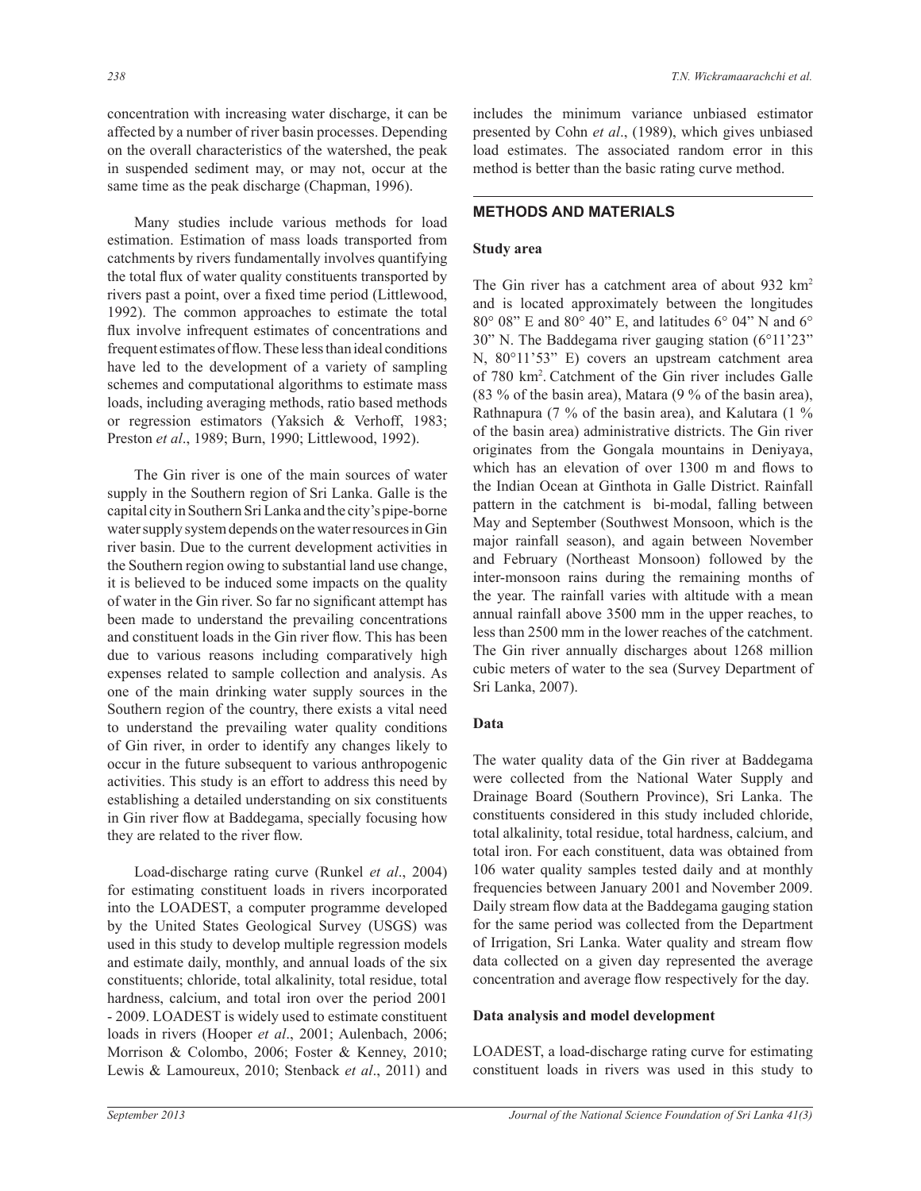concentration with increasing water discharge, it can be affected by a number of river basin processes. Depending on the overall characteristics of the watershed, the peak in suspended sediment may, or may not, occur at the same time as the peak discharge (Chapman, 1996).

 Many studies include various methods for load estimation. Estimation of mass loads transported from catchments by rivers fundamentally involves quantifying the total flux of water quality constituents transported by rivers past a point, over a fixed time period (Littlewood, 1992). The common approaches to estimate the total flux involve infrequent estimates of concentrations and frequent estimates of flow. These less than ideal conditions have led to the development of a variety of sampling schemes and computational algorithms to estimate mass loads, including averaging methods, ratio based methods or regression estimators (Yaksich & Verhoff, 1983; Preston *et al*., 1989; Burn, 1990; Littlewood, 1992).

 The Gin river is one of the main sources of water supply in the Southern region of Sri Lanka. Galle is the capital city in Southern Sri Lanka and the city's pipe-borne water supply system depends on the water resources in Gin river basin. Due to the current development activities in the Southern region owing to substantial land use change, it is believed to be induced some impacts on the quality of water in the Gin river. So far no significant attempt has been made to understand the prevailing concentrations and constituent loads in the Gin river flow. This has been due to various reasons including comparatively high expenses related to sample collection and analysis. As one of the main drinking water supply sources in the Southern region of the country, there exists a vital need to understand the prevailing water quality conditions of Gin river, in order to identify any changes likely to occur in the future subsequent to various anthropogenic activities. This study is an effort to address this need by establishing a detailed understanding on six constituents in Gin river flow at Baddegama, specially focusing how they are related to the river flow.

 Load-discharge rating curve (Runkel *et al*., 2004) for estimating constituent loads in rivers incorporated into the LOADEST, a computer programme developed by the United States Geological Survey (USGS) was used in this study to develop multiple regression models and estimate daily, monthly, and annual loads of the six constituents; chloride, total alkalinity, total residue, total hardness, calcium, and total iron over the period 2001 - 2009. LOADEST is widely used to estimate constituent loads in rivers (Hooper *et al*., 2001; Aulenbach, 2006; Morrison & Colombo, 2006; Foster & Kenney, 2010; Lewis & Lamoureux, 2010; Stenback *et al*., 2011) and includes the minimum variance unbiased estimator presented by Cohn *et al*., (1989), which gives unbiased load estimates. The associated random error in this method is better than the basic rating curve method.

# **METHODS AND MATERIALS**

# **Study area**

The Gin river has a catchment area of about 932 km<sup>2</sup> and is located approximately between the longitudes 80° 08" E and 80° 40" E, and latitudes 6° 04" N and 6° 30" N. The Baddegama river gauging station (6°11'23" N, 80°11'53" E) covers an upstream catchment area of 780 km<sup>2</sup> . Catchment of the Gin river includes Galle (83 % of the basin area), Matara (9 % of the basin area), Rathnapura (7 % of the basin area), and Kalutara (1 % of the basin area) administrative districts. The Gin river originates from the Gongala mountains in Deniyaya, which has an elevation of over 1300 m and flows to the Indian Ocean at Ginthota in Galle District. Rainfall pattern in the catchment is bi-modal, falling between May and September (Southwest Monsoon, which is the major rainfall season), and again between November and February (Northeast Monsoon) followed by the inter-monsoon rains during the remaining months of the year. The rainfall varies with altitude with a mean annual rainfall above 3500 mm in the upper reaches, to less than 2500 mm in the lower reaches of the catchment. The Gin river annually discharges about 1268 million cubic meters of water to the sea (Survey Department of Sri Lanka, 2007).

## **Data**

The water quality data of the Gin river at Baddegama were collected from the National Water Supply and Drainage Board (Southern Province), Sri Lanka. The constituents considered in this study included chloride, total alkalinity, total residue, total hardness, calcium, and total iron. For each constituent, data was obtained from 106 water quality samples tested daily and at monthly frequencies between January 2001 and November 2009. Daily stream flow data at the Baddegama gauging station for the same period was collected from the Department of Irrigation, Sri Lanka. Water quality and stream flow data collected on a given day represented the average concentration and average flow respectively for the day.

## **Data analysis and model development**

LOADEST, a load-discharge rating curve for estimating constituent loads in rivers was used in this study to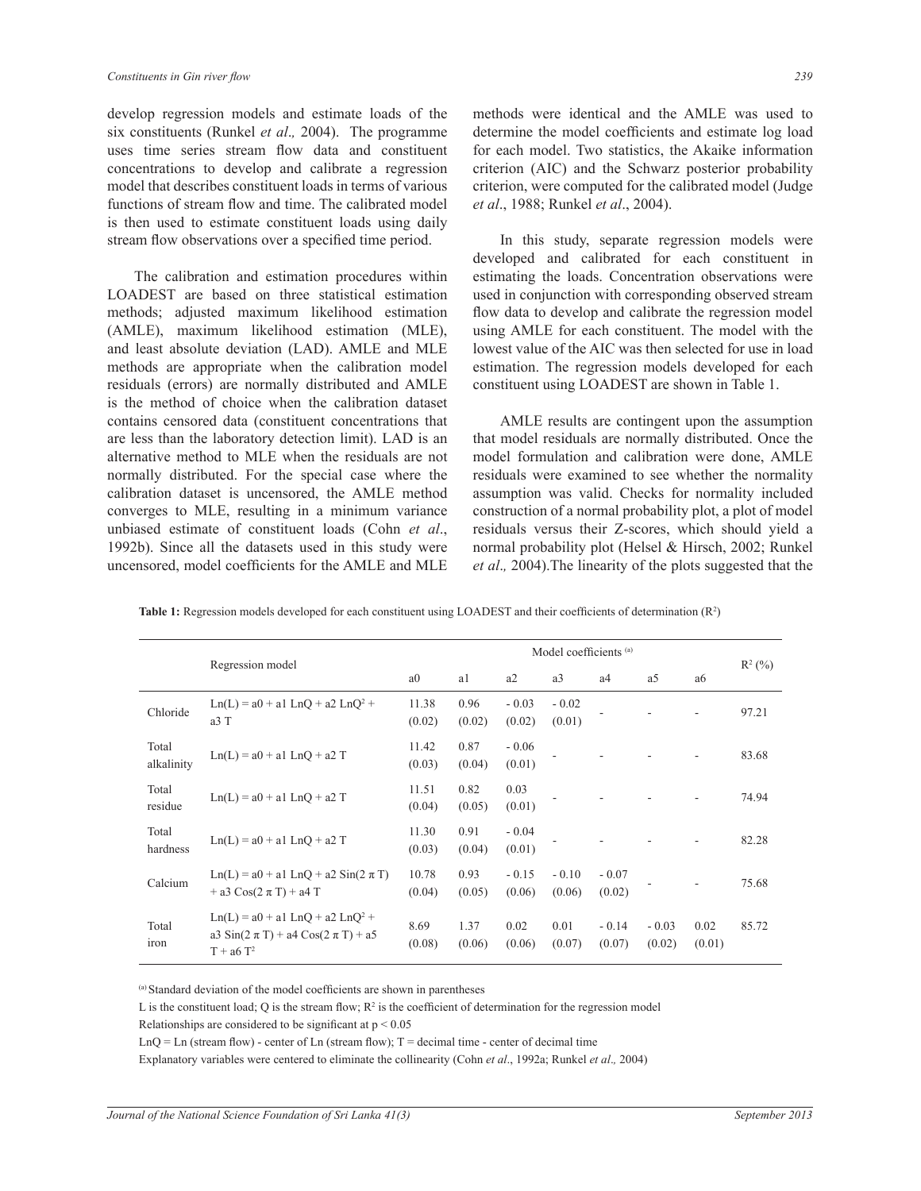develop regression models and estimate loads of the six constituents (Runkel *et al*.*,* 2004). The programme uses time series stream flow data and constituent concentrations to develop and calibrate a regression model that describes constituent loads in terms of various functions of stream flow and time. The calibrated model is then used to estimate constituent loads using daily stream flow observations over a specified time period.

 The calibration and estimation procedures within LOADEST are based on three statistical estimation methods; adjusted maximum likelihood estimation (AMLE), maximum likelihood estimation (MLE), and least absolute deviation (LAD). AMLE and MLE methods are appropriate when the calibration model residuals (errors) are normally distributed and AMLE is the method of choice when the calibration dataset contains censored data (constituent concentrations that are less than the laboratory detection limit). LAD is an alternative method to MLE when the residuals are not normally distributed. For the special case where the calibration dataset is uncensored, the AMLE method converges to MLE, resulting in a minimum variance unbiased estimate of constituent loads (Cohn *et al*., 1992b). Since all the datasets used in this study were uncensored, model coefficients for the AMLE and MLE

methods were identical and the AMLE was used to determine the model coefficients and estimate log load for each model. Two statistics, the Akaike information criterion (AIC) and the Schwarz posterior probability criterion, were computed for the calibrated model (Judge *et al*., 1988; Runkel *et al*., 2004).

 In this study, separate regression models were developed and calibrated for each constituent in estimating the loads. Concentration observations were used in conjunction with corresponding observed stream flow data to develop and calibrate the regression model using AMLE for each constituent. The model with the lowest value of the AIC was then selected for use in load estimation. The regression models developed for each constituent using LOADEST are shown in Table 1.

 AMLE results are contingent upon the assumption that model residuals are normally distributed. Once the model formulation and calibration were done, AMLE residuals were examined to see whether the normality assumption was valid. Checks for normality included construction of a normal probability plot, a plot of model residuals versus their Z-scores, which should yield a normal probability plot (Helsel & Hirsch, 2002; Runkel *et al*.*,* 2004).The linearity of the plots suggested that the

|                      | Regression model                                                                                   | Model coefficients <sup>(a)</sup> |                |                   |                   |                   |                   |                |           |
|----------------------|----------------------------------------------------------------------------------------------------|-----------------------------------|----------------|-------------------|-------------------|-------------------|-------------------|----------------|-----------|
|                      |                                                                                                    | a <sub>0</sub>                    | a1             | a2                | a <sub>3</sub>    | a4                | a5                | a6             | $R^2$ (%) |
| Chloride             | $Ln(L) = a0 + a1 LnO + a2 LnO2 +$<br>a3 T                                                          | 11.38<br>(0.02)                   | 0.96<br>(0.02) | $-0.03$<br>(0.02) | $-0.02$<br>(0.01) |                   |                   |                | 97.21     |
| Total<br>alkalinity  | $Ln(L) = a0 + a1$ $LnO + a2$ T                                                                     | 11.42<br>(0.03)                   | 0.87<br>(0.04) | $-0.06$<br>(0.01) |                   |                   |                   |                | 83.68     |
| Total<br>residue     | $Ln(L) = a0 + a1 LnQ + a2 T$                                                                       | 11.51<br>(0.04)                   | 0.82<br>(0.05) | 0.03<br>(0.01)    |                   |                   |                   |                | 74.94     |
| Total<br>hardness    | $Ln(L) = a0 + a1$ $LnO + a2$ T                                                                     | 11.30<br>(0.03)                   | 0.91<br>(0.04) | $-0.04$<br>(0.01) |                   |                   |                   |                | 82.28     |
| Calcium              | $Ln(L) = a0 + a1 LnQ + a2 Sin(2 \pi T)$<br>+ a3 $\cos(2 \pi T)$ + a4 T                             | 10.78<br>(0.04)                   | 0.93<br>(0.05) | $-0.15$<br>(0.06) | $-0.10$<br>(0.06) | $-0.07$<br>(0.02) |                   |                | 75.68     |
| Total<br><i>iron</i> | $Ln(L) = a0 + a1 LnQ + a2 LnQ2 +$<br>a3 Sin( $2 \pi T$ ) + a4 Cos( $2 \pi T$ ) + a5<br>$T + a6T^2$ | 8.69<br>(0.08)                    | 1.37<br>(0.06) | 0.02<br>(0.06)    | 0.01<br>(0.07)    | $-0.14$<br>(0.07) | $-0.03$<br>(0.02) | 0.02<br>(0.01) | 85.72     |

**Table 1:** Regression models developed for each constituent using LOADEST and their coefficients of determination  $(R^2)$ 

(a) Standard deviation of the model coefficients are shown in parentheses

L is the constituent load; Q is the stream flow;  $R^2$  is the coefficient of determination for the regression model

Relationships are considered to be significant at  $p \le 0.05$ 

 $LnQ = Ln$  (stream flow) - center of Ln (stream flow);  $T =$  decimal time - center of decimal time

Explanatory variables were centered to eliminate the collinearity (Cohn *et al*., 1992a; Runkel *et al*.*,* 2004)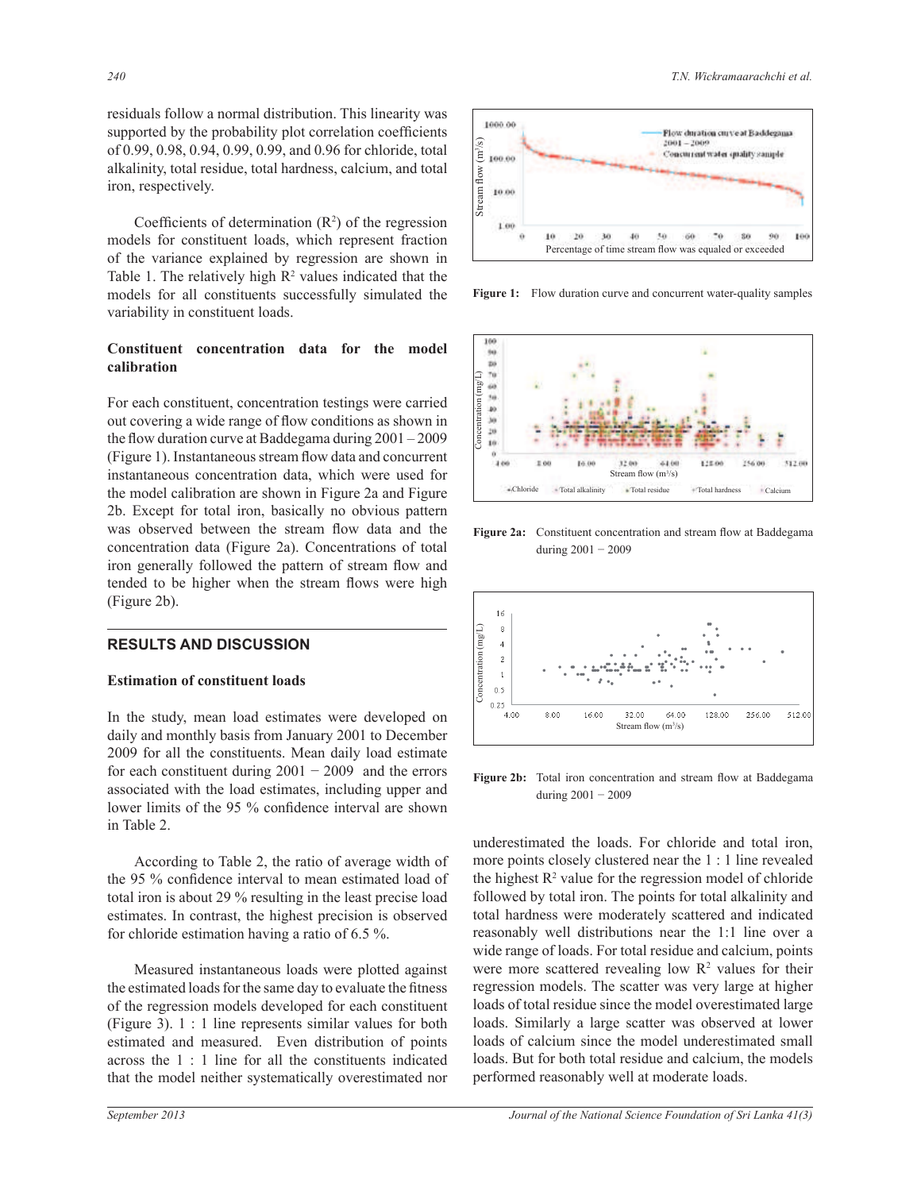residuals follow a normal distribution. This linearity was supported by the probability plot correlation coefficients of 0.99, 0.98, 0.94, 0.99, 0.99, and 0.96 for chloride, total alkalinity, total residue, total hardness, calcium, and total iron, respectively.

Coefficients of determination  $(R^2)$  of the regression models for constituent loads, which represent fraction of the variance explained by regression are shown in Table 1. The relatively high  $\mathbb{R}^2$  values indicated that the models for all constituents successfully simulated the variability in constituent loads.

#### **Constituent concentration data for the model calibration**

For each constituent, concentration testings were carried out covering a wide range of flow conditions as shown in the flow duration curve at Baddegama during 2001 – 2009 (Figure 1). Instantaneous stream flow data and concurrent instantaneous concentration data, which were used for the model calibration are shown in Figure 2a and Figure 2b. Except for total iron, basically no obvious pattern was observed between the stream flow data and the concentration data (Figure 2a). Concentrations of total iron generally followed the pattern of stream flow and tended to be higher when the stream flows were high (Figure 2b).

# **RESULTS AND DISCUSSION**

#### **Estimation of constituent loads**

In the study, mean load estimates were developed on daily and monthly basis from January 2001 to December 2009 for all the constituents. Mean daily load estimate for each constituent during  $2001 - 2009$  and the errors associated with the load estimates, including upper and lower limits of the 95 % confidence interval are shown in Table 2.

According to Table 2, the ratio of average width of the 95 % confidence interval to mean estimated load of total iron is about 29 % resulting in the least precise load estimates. In contrast, the highest precision is observed for chloride estimation having a ratio of 6.5 %.

 Measured instantaneous loads were plotted against the estimated loads for the same day to evaluate the fitness of the regression models developed for each constituent (Figure 3). 1 : 1 line represents similar values for both estimated and measured. Even distribution of points across the 1 : 1 line for all the constituents indicated that the model neither systematically overestimated nor



**Figure 1:** Flow duration curve and concurrent water-quality samples



**Figure 2a:** Constituent concentration and stream flow at Baddegama during 2001 − 2009



Figure 2b: Total iron concentration and stream flow at Baddegama during 2001 − 2009

underestimated the loads. For chloride and total iron, more points closely clustered near the 1 : 1 line revealed the highest  $R^2$  value for the regression model of chloride followed by total iron. The points for total alkalinity and total hardness were moderately scattered and indicated reasonably well distributions near the 1:1 line over a wide range of loads. For total residue and calcium, points were more scattered revealing low  $\mathbb{R}^2$  values for their regression models. The scatter was very large at higher loads of total residue since the model overestimated large loads. Similarly a large scatter was observed at lower loads of calcium since the model underestimated small loads. But for both total residue and calcium, the models performed reasonably well at moderate loads.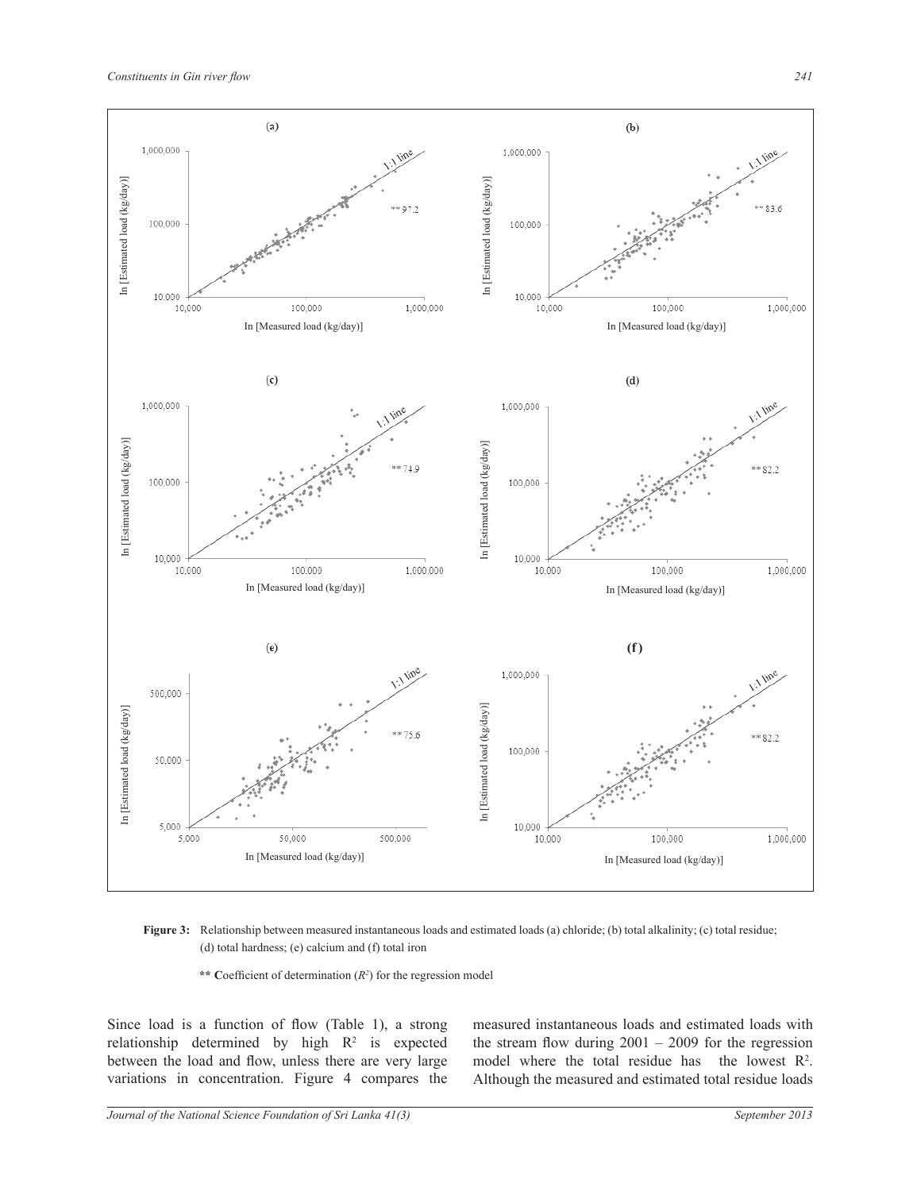

**Figure 3:** Relationship between measured instantaneous loads and estimated loads (a) chloride; (b) total alkalinity; (c) total residue; (d) total hardness; (e) calcium and (f) total iron

\*\* Coefficient of determination  $(R^2)$  for the regression model

Since load is a function of flow (Table 1), a strong relationship determined by high  $R^2$  is expected between the load and flow, unless there are very large variations in concentration. Figure 4 compares the

measured instantaneous loads and estimated loads with the stream flow during  $2001 - 2009$  for the regression model where the total residue has the lowest  $\mathbb{R}^2$ . Although the measured and estimated total residue loads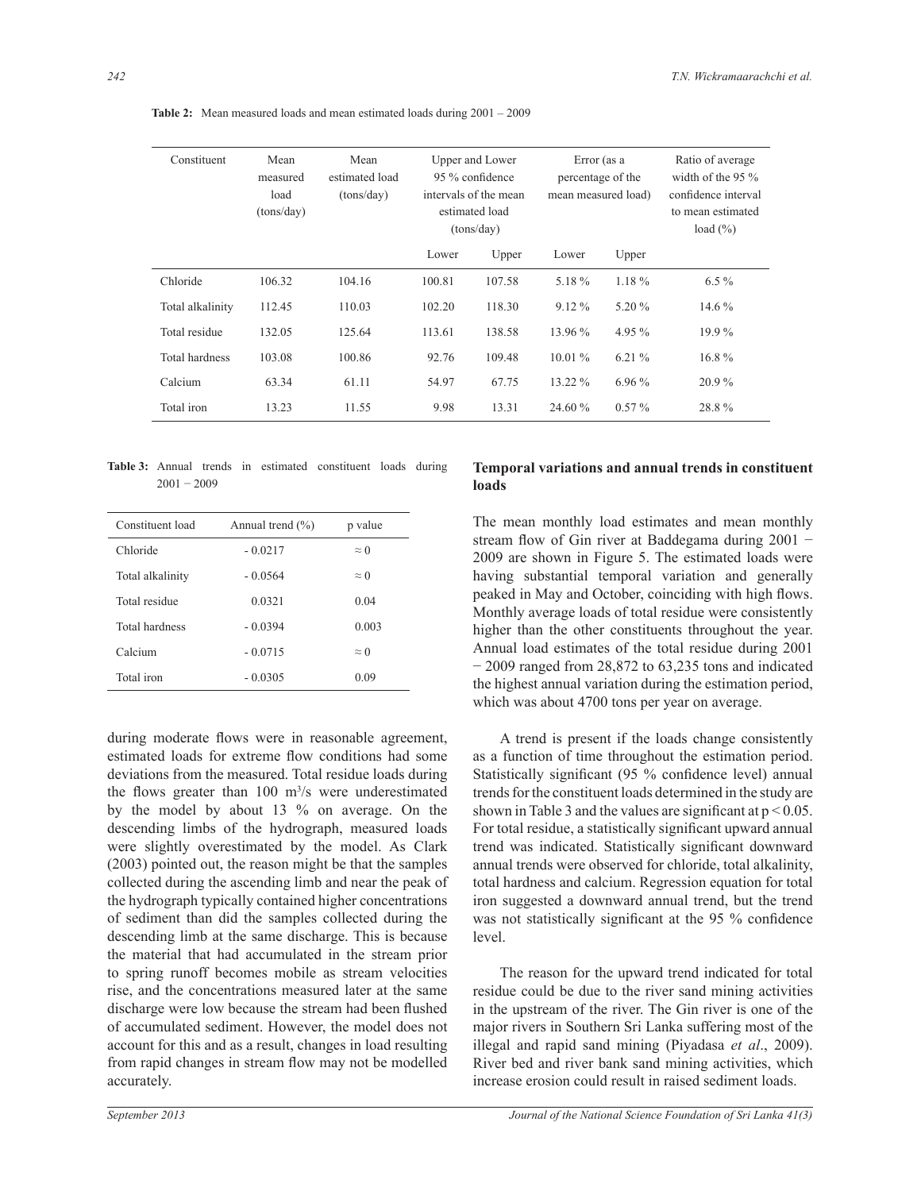| Constituent      | Mean<br>measured<br>load<br>(tons/day) | Mean<br>estimated load<br>(tons/day) | Upper and Lower<br>95 % confidence<br>intervals of the mean<br>estimated load<br>(tons/day) |        | Error (as a<br>percentage of the<br>mean measured load) |          | Ratio of average<br>width of the $95\%$<br>confidence interval<br>to mean estimated<br>load $(\% )$ |  |
|------------------|----------------------------------------|--------------------------------------|---------------------------------------------------------------------------------------------|--------|---------------------------------------------------------|----------|-----------------------------------------------------------------------------------------------------|--|
|                  |                                        |                                      | Lower                                                                                       | Upper  | Lower                                                   | Upper    |                                                                                                     |  |
| Chloride         | 106.32                                 | 104.16                               | 100.81                                                                                      | 107.58 | 5.18%                                                   | $1.18\%$ | $6.5\%$                                                                                             |  |
| Total alkalinity | 112.45                                 | 110.03                               | 102.20                                                                                      | 118.30 | $9.12\%$                                                | 5.20 %   | $14.6\%$                                                                                            |  |
| Total residue    | 132.05                                 | 125.64                               | 113.61                                                                                      | 138.58 | 13.96 %                                                 | 4.95 %   | 19.9%                                                                                               |  |
| Total hardness   | 103.08                                 | 100.86                               | 92.76                                                                                       | 109.48 | $10.01\%$                                               | 6.21%    | $16.8\%$                                                                                            |  |
| Calcium          | 63.34                                  | 61.11                                | 54.97                                                                                       | 67.75  | 13.22 %                                                 | $6.96\%$ | $20.9\%$                                                                                            |  |
| Total iron       | 13.23                                  | 11.55                                | 9.98                                                                                        | 13.31  | 24.60 %                                                 | $0.57\%$ | 28.8%                                                                                               |  |

**Table 2:** Mean measured loads and mean estimated loads during 2001 – 2009

**Table 3:** Annual trends in estimated constituent loads during  $2001 - 2009$ 

| Constituent load | Annual trend $(\% )$ | p value     |
|------------------|----------------------|-------------|
| Chloride         | $-0.0217$            | $\approx$ 0 |
| Total alkalinity | $-0.0564$            | $\approx$ 0 |
| Total residue    | 0.0321               | 0.04        |
| Total hardness   | $-0.0394$            | 0.003       |
| Calcium          | $-0.0715$            | $\approx$ 0 |
| Total iron       | $-0.0305$            | 0.09        |

during moderate flows were in reasonable agreement, estimated loads for extreme flow conditions had some deviations from the measured. Total residue loads during the flows greater than 100 m<sup>3</sup> /s were underestimated by the model by about 13 % on average. On the descending limbs of the hydrograph, measured loads were slightly overestimated by the model. As Clark (2003) pointed out, the reason might be that the samples collected during the ascending limb and near the peak of the hydrograph typically contained higher concentrations of sediment than did the samples collected during the descending limb at the same discharge. This is because the material that had accumulated in the stream prior to spring runoff becomes mobile as stream velocities rise, and the concentrations measured later at the same discharge were low because the stream had been flushed of accumulated sediment. However, the model does not account for this and as a result, changes in load resulting from rapid changes in stream flow may not be modelled accurately.

# **Temporal variations and annual trends in constituent loads**

The mean monthly load estimates and mean monthly stream flow of Gin river at Baddegama during 2001 − 2009 are shown in Figure 5. The estimated loads were having substantial temporal variation and generally peaked in May and October, coinciding with high flows. Monthly average loads of total residue were consistently higher than the other constituents throughout the year. Annual load estimates of the total residue during 2001 − 2009 ranged from 28,872 to 63,235 tons and indicated the highest annual variation during the estimation period, which was about 4700 tons per year on average.

 A trend is present if the loads change consistently as a function of time throughout the estimation period. Statistically significant (95 % confidence level) annual trends for the constituent loads determined in the study are shown in Table 3 and the values are significant at  $p < 0.05$ . For total residue, a statistically significant upward annual trend was indicated. Statistically significant downward annual trends were observed for chloride, total alkalinity, total hardness and calcium. Regression equation for total iron suggested a downward annual trend, but the trend was not statistically significant at the 95 % confidence level.

 The reason for the upward trend indicated for total residue could be due to the river sand mining activities in the upstream of the river. The Gin river is one of the major rivers in Southern Sri Lanka suffering most of the illegal and rapid sand mining (Piyadasa *et al*., 2009). River bed and river bank sand mining activities, which increase erosion could result in raised sediment loads.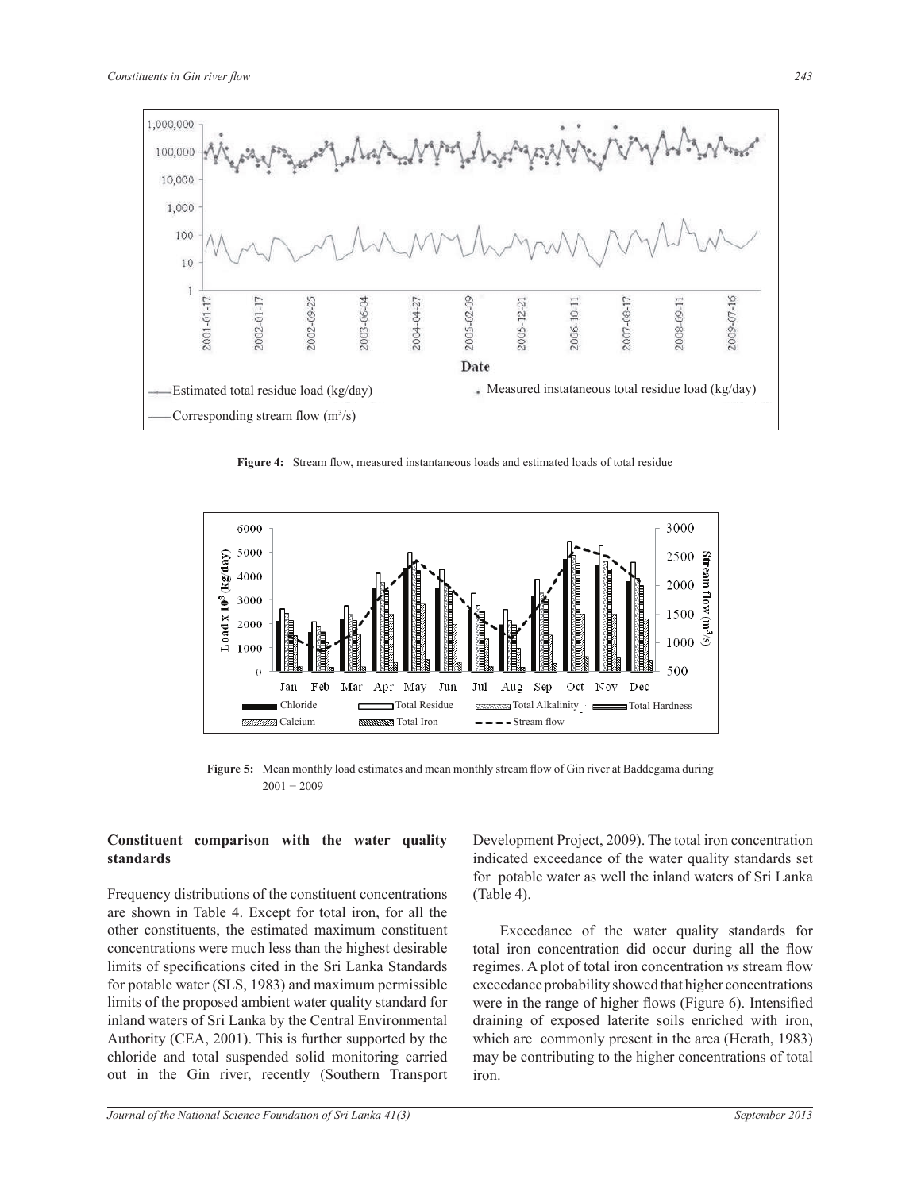

**Figure 4:** Stream flow, measured instantaneous loads and estimated loads of total residue



**Figure 5:** Mean monthly load estimates and mean monthly stream flow of Gin river at Baddegama during 2001 − 2009

#### **Constituent comparison with the water quality standards**

Frequency distributions of the constituent concentrations are shown in Table 4. Except for total iron, for all the other constituents, the estimated maximum constituent concentrations were much less than the highest desirable limits of specifications cited in the Sri Lanka Standards for potable water (SLS, 1983) and maximum permissible limits of the proposed ambient water quality standard for inland waters of Sri Lanka by the Central Environmental Authority (CEA, 2001). This is further supported by the chloride and total suspended solid monitoring carried out in the Gin river, recently (Southern Transport

Development Project, 2009). The total iron concentration indicated exceedance of the water quality standards set for potable water as well the inland waters of Sri Lanka (Table 4).

 Exceedance of the water quality standards for total iron concentration did occur during all the flow regimes. A plot of total iron concentration *vs* stream flow exceedance probability showed that higher concentrations were in the range of higher flows (Figure 6). Intensified draining of exposed laterite soils enriched with iron, which are commonly present in the area (Herath, 1983) may be contributing to the higher concentrations of total iron.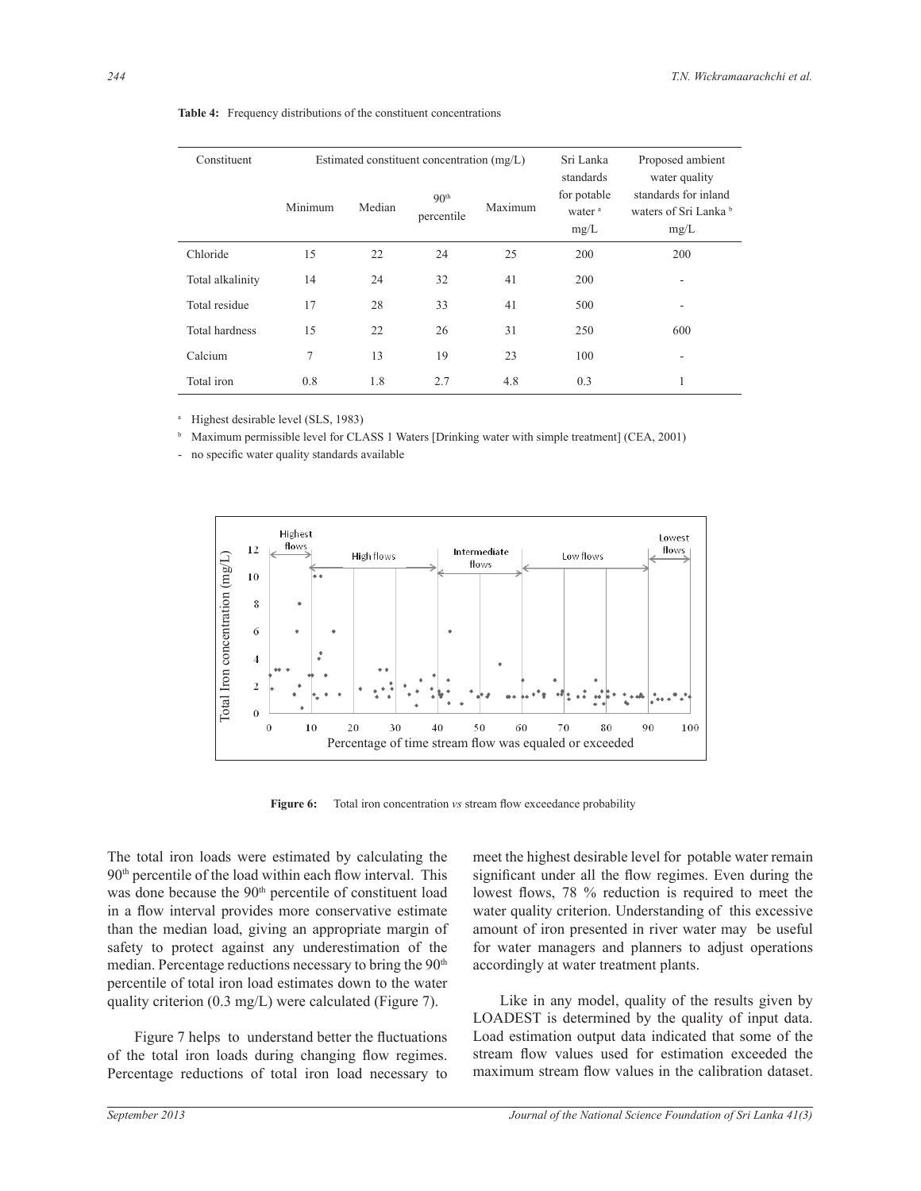| Constituent      |         |        | Estimated constituent concentration (mg/L) | Sri Lanka | Proposed ambient                                       |                                                                        |
|------------------|---------|--------|--------------------------------------------|-----------|--------------------------------------------------------|------------------------------------------------------------------------|
|                  | Minimum | Median | 90 <sup>th</sup><br>percentile             | Maximum   | standards<br>for potable<br>water <sup>a</sup><br>mg/L | water quality<br>standards for inland<br>waters of Sri Lanka b<br>mg/L |
| Chloride         | 15      | 22     | 24                                         | 25        | 200                                                    | 200                                                                    |
| Total alkalinity | 14      | 24     | 32                                         | 41        | 200                                                    | ٠                                                                      |
| Total residue    | 17      | 28     | 33                                         | 41        | 500                                                    | ٠                                                                      |
| Total hardness   | 15      | 22     | 26                                         | 31        | 250                                                    | 600                                                                    |
| Calcium          | 7       | 13     | 19                                         | 23        | 100                                                    |                                                                        |
| Total iron       | 0.8     | 1.8    | 2.7                                        | 4.8       | 0.3                                                    |                                                                        |

**Table 4:** Frequency distributions of the constituent concentrations

a Highest desirable level (SLS, 1983)

b Maximum permissible level for CLASS 1 Waters [Drinking water with simple treatment] (CEA, 2001)

- no specific water quality standards available



**Figure 6:** Total iron concentration *vs* stream flow exceedance probability

The total iron loads were estimated by calculating the 90th percentile of the load within each flow interval. This was done because the 90<sup>th</sup> percentile of constituent load in a flow interval provides more conservative estimate than the median load, giving an appropriate margin of safety to protect against any underestimation of the median. Percentage reductions necessary to bring the 90<sup>th</sup> percentile of total iron load estimates down to the water quality criterion (0.3 mg/L) were calculated (Figure 7).

 Figure 7 helps to understand better the fluctuations of the total iron loads during changing flow regimes. Percentage reductions of total iron load necessary to

meet the highest desirable level for potable water remain significant under all the flow regimes. Even during the lowest flows, 78 % reduction is required to meet the water quality criterion. Understanding of this excessive amount of iron presented in river water may be useful for water managers and planners to adjust operations accordingly at water treatment plants.

 Like in any model, quality of the results given by LOADEST is determined by the quality of input data. Load estimation output data indicated that some of the stream flow values used for estimation exceeded the maximum stream flow values in the calibration dataset.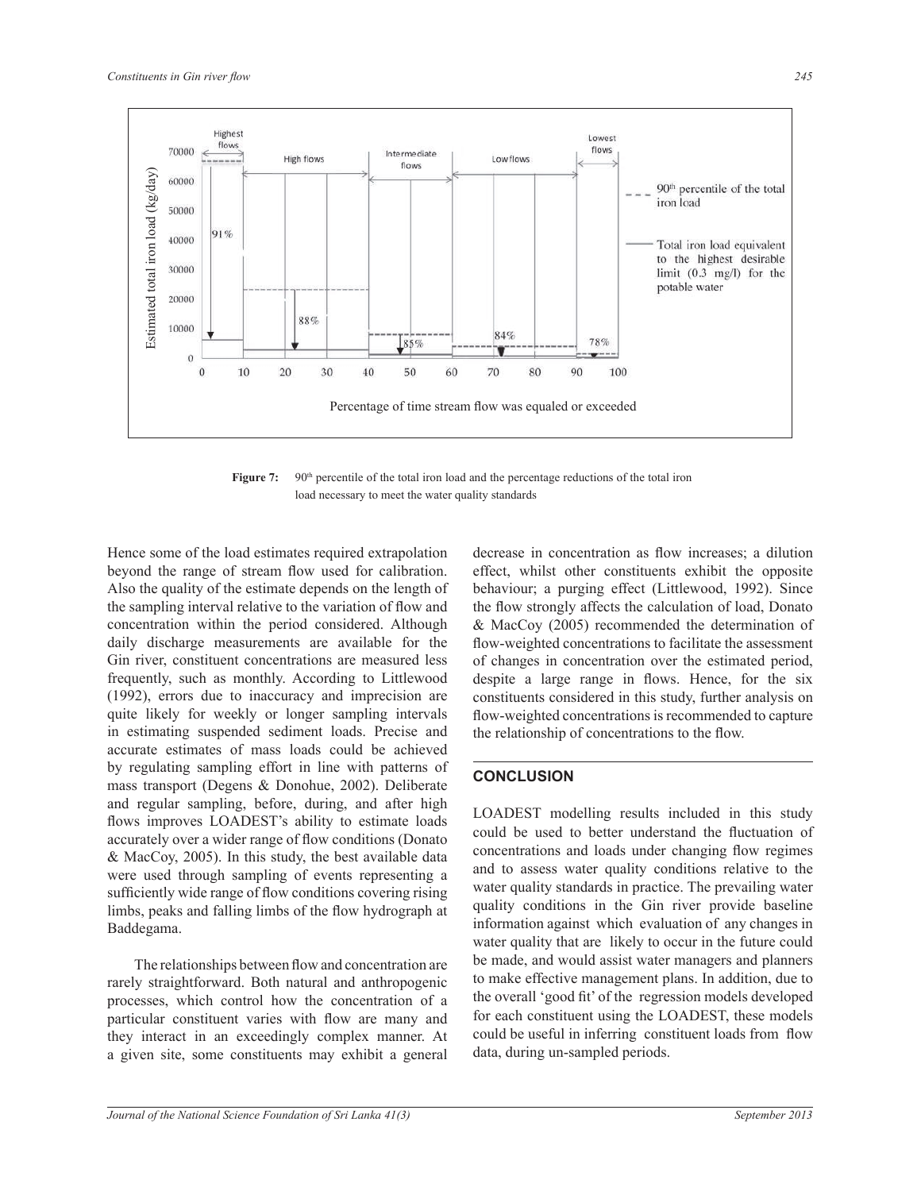

**Figure 7:** 90<sup>th</sup> percentile of the total iron load and the percentage reductions of the total iron load necessary to meet the water quality standards

Hence some of the load estimates required extrapolation beyond the range of stream flow used for calibration. Also the quality of the estimate depends on the length of the sampling interval relative to the variation of flow and concentration within the period considered. Although daily discharge measurements are available for the Gin river, constituent concentrations are measured less frequently, such as monthly. According to Littlewood (1992), errors due to inaccuracy and imprecision are quite likely for weekly or longer sampling intervals in estimating suspended sediment loads. Precise and accurate estimates of mass loads could be achieved by regulating sampling effort in line with patterns of mass transport (Degens & Donohue, 2002). Deliberate and regular sampling, before, during, and after high flows improves LOADEST's ability to estimate loads accurately over a wider range of flow conditions (Donato & MacCoy, 2005). In this study, the best available data were used through sampling of events representing a sufficiently wide range of flow conditions covering rising limbs, peaks and falling limbs of the flow hydrograph at Baddegama.

 The relationships between flow and concentration are rarely straightforward. Both natural and anthropogenic processes, which control how the concentration of a particular constituent varies with flow are many and they interact in an exceedingly complex manner. At a given site, some constituents may exhibit a general

*Journal of the National Science Foundation of Sri Lanka 41(3) September 2013*

decrease in concentration as flow increases; a dilution effect, whilst other constituents exhibit the opposite behaviour; a purging effect (Littlewood, 1992). Since the flow strongly affects the calculation of load, Donato & MacCoy (2005) recommended the determination of flow-weighted concentrations to facilitate the assessment of changes in concentration over the estimated period, despite a large range in flows. Hence, for the six constituents considered in this study, further analysis on flow-weighted concentrations is recommended to capture the relationship of concentrations to the flow.

# **CONCLUSION**

LOADEST modelling results included in this study could be used to better understand the fluctuation of concentrations and loads under changing flow regimes and to assess water quality conditions relative to the water quality standards in practice. The prevailing water quality conditions in the Gin river provide baseline information against which evaluation of any changes in water quality that are likely to occur in the future could be made, and would assist water managers and planners to make effective management plans. In addition, due to the overall 'good fit' of the regression models developed for each constituent using the LOADEST, these models could be useful in inferring constituent loads from flow data, during un-sampled periods.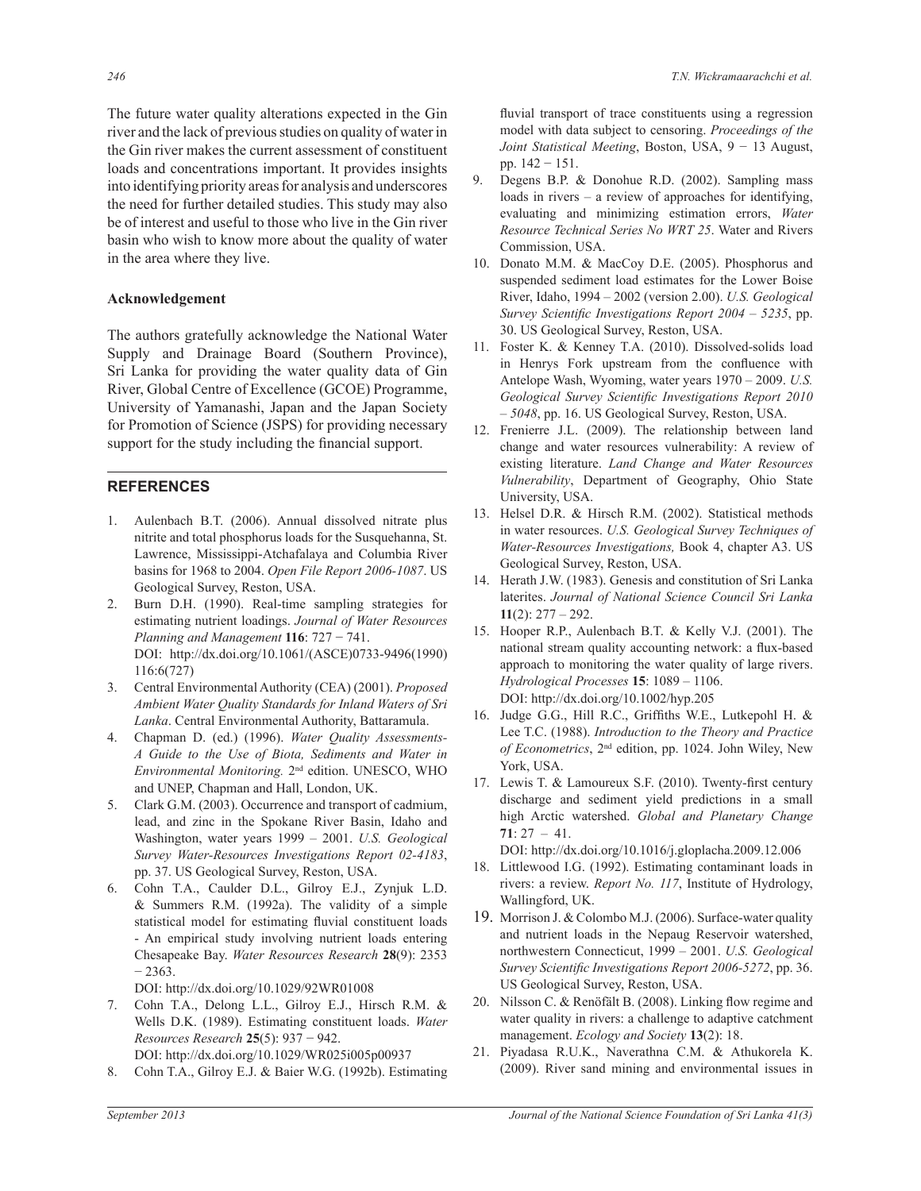The future water quality alterations expected in the Gin river and the lack of previous studies on quality of water in the Gin river makes the current assessment of constituent loads and concentrations important. It provides insights into identifying priority areas for analysis and underscores the need for further detailed studies. This study may also be of interest and useful to those who live in the Gin river basin who wish to know more about the quality of water in the area where they live.

# **Acknowledgement**

The authors gratefully acknowledge the National Water Supply and Drainage Board (Southern Province), Sri Lanka for providing the water quality data of Gin River, Global Centre of Excellence (GCOE) Programme, University of Yamanashi, Japan and the Japan Society for Promotion of Science (JSPS) for providing necessary support for the study including the financial support.

# **REFERENCES**

- 1. Aulenbach B.T. (2006). Annual dissolved nitrate plus nitrite and total phosphorus loads for the Susquehanna, St. Lawrence, Mississippi-Atchafalaya and Columbia River basins for 1968 to 2004. *Open File Report 2006-1087*. US Geological Survey, Reston, USA.
- 2. Burn D.H. (1990). Real-time sampling strategies for estimating nutrient loadings. *Journal of Water Resources Planning and Management* **116**: 727 − 741. DOI: http://dx.doi.org/10.1061/(ASCE)0733-9496(1990) 116:6(727)
- 3. Central Environmental Authority (CEA) (2001). *Proposed Ambient Water Quality Standards for Inland Waters of Sri Lanka*. Central Environmental Authority, Battaramula.
- 4. Chapman D. (ed.) (1996). *Water Quality Assessments-A Guide to the Use of Biota, Sediments and Water in Environmental Monitoring.* 2nd edition. UNESCO, WHO and UNEP, Chapman and Hall, London, UK.
- 5. Clark G.M. (2003). Occurrence and transport of cadmium, lead, and zinc in the Spokane River Basin, Idaho and Washington, water years 1999 – 2001. *U.S. Geological Survey Water-Resources Investigations Report 02-4183*, pp. 37. US Geological Survey, Reston, USA.
- 6. Cohn T.A., Caulder D.L., Gilroy E.J., Zynjuk L.D. & Summers R.M. (1992a). The validity of a simple statistical model for estimating fluvial constituent loads - An empirical study involving nutrient loads entering Chesapeake Bay. *Water Resources Research* **28**(9): 2353  $-2363.$

DOI: http://dx.doi.org/10.1029/92WR01008

- 7. Cohn T.A., Delong L.L., Gilroy E.J., Hirsch R.M. & Wells D.K. (1989). Estimating constituent loads. *Water Resources Research* **25**(5): 937 − 942. DOI: http://dx.doi.org/10.1029/WR025i005p00937
- 8. Cohn T.A., Gilroy E.J. & Baier W.G. (1992b). Estimating

fluvial transport of trace constituents using a regression model with data subject to censoring. *Proceedings of the Joint Statistical Meeting*, Boston, USA, 9 − 13 August, pp. 142 − 151.

- 9. Degens B.P. & Donohue R.D. (2002). Sampling mass loads in rivers – a review of approaches for identifying, evaluating and minimizing estimation errors, *Water Resource Technical Series No WRT 25*. Water and Rivers Commission, USA.
- 10. Donato M.M. & MacCoy D.E. (2005). Phosphorus and suspended sediment load estimates for the Lower Boise River, Idaho, 1994 – 2002 (version 2.00). *U.S. Geological Survey Scientific Investigations Report 2004 – 5235*, pp. 30. US Geological Survey, Reston, USA.
- 11. Foster K. & Kenney T.A. (2010). Dissolved-solids load in Henrys Fork upstream from the confluence with Antelope Wash, Wyoming, water years 1970 – 2009. *U.S. Geological Survey Scientific Investigations Report 2010 – 5048*, pp. 16. US Geological Survey, Reston, USA.
- 12. Frenierre J.L. (2009). The relationship between land change and water resources vulnerability: A review of existing literature. *Land Change and Water Resources Vulnerability*, Department of Geography, Ohio State University, USA.
- 13. Helsel D.R. & Hirsch R.M. (2002). Statistical methods in water resources. *U.S. Geological Survey Techniques of Water-Resources Investigations,* Book 4, chapter A3. US Geological Survey, Reston, USA.
- 14. Herath J.W. (1983). Genesis and constitution of Sri Lanka laterites. *Journal of National Science Council Sri Lanka* **11**(2): 277 – 292.
- 15. Hooper R.P., Aulenbach B.T. & Kelly V.J. (2001). The national stream quality accounting network: a flux-based approach to monitoring the water quality of large rivers. *Hydrological Processes* **15**: 1089 – 1106. DOI: http://dx.doi.org/10.1002/hyp.205
- 16. Judge G.G., Hill R.C., Griffiths W.E., Lutkepohl H. & Lee T.C. (1988). *Introduction to the Theory and Practice of Econometrics*, 2nd edition, pp. 1024. John Wiley, New York, USA.
- 17. Lewis T. & Lamoureux S.F. (2010). Twenty-first century discharge and sediment yield predictions in a small high Arctic watershed. *Global and Planetary Change* **71**: 27 – 41.

DOI: http://dx.doi.org/10.1016/j.gloplacha.2009.12.006

- 18. Littlewood I.G. (1992). Estimating contaminant loads in rivers: a review. *Report No. 117*, Institute of Hydrology, Wallingford, UK.
- 19. Morrison J. & Colombo M.J. (2006). Surface-water quality and nutrient loads in the Nepaug Reservoir watershed, northwestern Connecticut, 1999 – 2001. *U.S. Geological Survey Scientific Investigations Report 2006-5272*, pp. 36. US Geological Survey, Reston, USA.
- 20. Nilsson C. & Renöfält B. (2008). Linking flow regime and water quality in rivers: a challenge to adaptive catchment management. *Ecology and Society* **13**(2): 18.
- 21. Piyadasa R.U.K., Naverathna C.M. & Athukorela K. (2009). River sand mining and environmental issues in